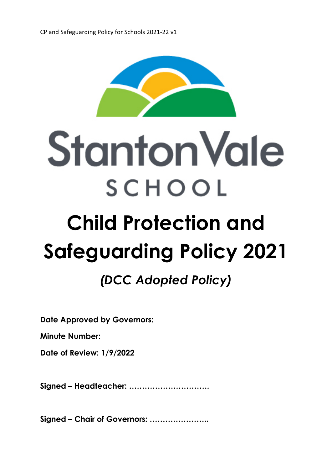

# **Stanton Vale** SCHOOL

## **Child Protection and Safeguarding Policy 2021**

### *(DCC Adopted Policy)*

**Date Approved by Governors:**

**Minute Number:**

**Date of Review: 1/9/2022**

**Signed – Headteacher: ………………………….**

**Signed – Chair of Governors: …………………..**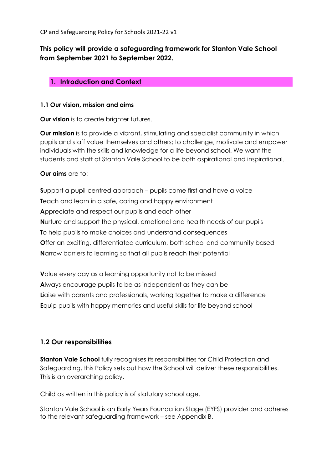#### **This policy will provide a safeguarding framework for Stanton Vale School from September 2021 to September 2022.**

#### **1. Introduction and Context**

#### **1.1 Our vision, mission and aims**

**Our vision** is to create brighter futures.

**Our mission** is to provide a vibrant, stimulating and specialist community in which pupils and staff value themselves and others; to challenge, motivate and empower individuals with the skills and knowledge for a life beyond school. We want the students and staff of Stanton Vale School to be both aspirational and inspirational.

#### **Our aims** are to:

**S**upport a pupil-centred approach – pupils come first and have a voice **T**each and learn in a safe, caring and happy environment **A**ppreciate and respect our pupils and each other **N**urture and support the physical, emotional and health needs of our pupils **T**o help pupils to make choices and understand consequences **Offer an exciting, differentiated curriculum, both school and community based N**arrow barriers to learning so that all pupils reach their potential

**V**alue every day as a learning opportunity not to be missed **A**lways encourage pupils to be as independent as they can be Liaise with parents and professionals, working together to make a difference **E**quip pupils with happy memories and useful skills for life beyond school

#### **1.2 Our responsibilities**

**Stanton Vale School** fully recognises its responsibilities for Child Protection and Safeguarding, this Policy sets out how the School will deliver these responsibilities. This is an overarching policy.

Child as written in this policy is of statutory school age.

Stanton Vale School is an Early Years Foundation Stage (EYFS) provider and adheres to the relevant safeguarding framework – see Appendix B.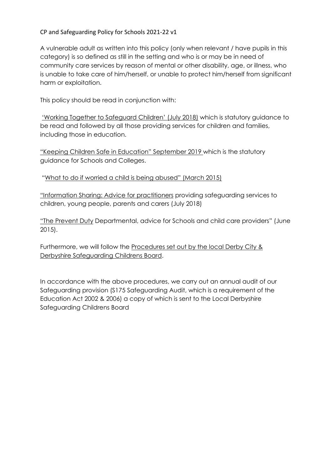A vulnerable adult as written into this policy (only when relevant / have pupils in this category) is so defined as still in the setting and who is or may be in need of community care services by reason of mental or other disability, age, or illness, who is unable to take care of him/herself, or unable to protect him/herself from significant harm or exploitation.

This policy should be read in conjunction with:

['Working Together to Safeguard Children' \(](https://www.gov.uk/government/publications/working-together-to-safeguard-children--2)July 2018) which is statutory guidance to be read and followed by all those providing services for children and families, including those in education.

["Keeping Children Safe in Education"](https://www.gov.uk/government/publications/keeping-children-safe-in-education--2) September 2019 which is the statutory guidance for Schools and Colleges.

["What to do if worried a child is being abused" \(March 2015\)](https://www.gov.uk/government/publications/what-to-do-if-youre-worried-a-child-is-being-abused--2)

"[Information Sharing: Advice for practitioners](https://www.gov.uk/government/publications/safeguarding-practitioners-information-sharing-advice) providing safeguarding services to children, young people, parents and carers (July 2018)

"[The Prevent Duty](https://www.gov.uk/government/publications/protecting-children-from-radicalisation-the-prevent-duty) Departmental, advice for Schools and child care providers" (June 2015).

Furthermore, we will follow the Procedures set out by the local Derby City & [Derbyshire Safeguarding Childrens Board.](http://derbyshirescbs.proceduresonline.com/)

In accordance with the above procedures, we carry out an annual audit of our Safeguarding provision (S175 Safeguarding Audit, which is a requirement of the Education Act 2002 & 2006) a copy of which is sent to the Local Derbyshire Safeguarding Childrens Board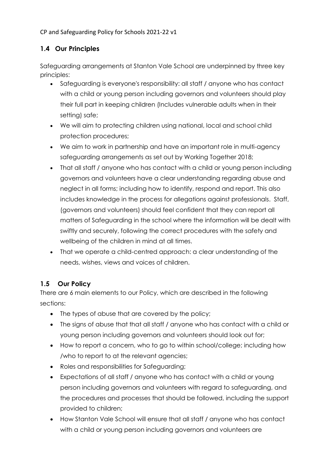#### **1.4 Our Principles**

Safeguarding arrangements at Stanton Vale School are underpinned by three key principles:

- Safeguarding is everyone's responsibility: all staff / anyone who has contact with a child or young person including governors and volunteers should play their full part in keeping children (Includes vulnerable adults when in their setting) safe;
- We will aim to protecting children using national, local and school child protection procedures;
- We aim to work in partnership and have an important role in multi-agency safeguarding arrangements as set out by Working Together 2018;
- That all staff / anyone who has contact with a child or young person including governors and volunteers have a clear understanding regarding abuse and neglect in all forms; including how to identify, respond and report. This also includes knowledge in the process for allegations against professionals. Staff, (governors and volunteers) should feel confident that they can report all matters of Safeguarding in the school where the information will be dealt with swiftly and securely, following the correct procedures with the safety and wellbeing of the children in mind at all times.
- That we operate a child-centred approach: a clear understanding of the needs, wishes, views and voices of children.

#### **1.5 Our Policy**

There are 6 main elements to our Policy, which are described in the following sections:

- The types of abuse that are covered by the policy;
- The signs of abuse that that all staff / anyone who has contact with a child or young person including governors and volunteers should look out for;
- How to report a concern, who to go to within school/college; including how /who to report to at the relevant agencies;
- Roles and responsibilities for Safeguarding;
- Expectations of all staff / anyone who has contact with a child or young person including governors and volunteers with regard to safeguarding, and the procedures and processes that should be followed, including the support provided to children;
- How Stanton Vale School will ensure that all staff / anyone who has contact with a child or young person including governors and volunteers are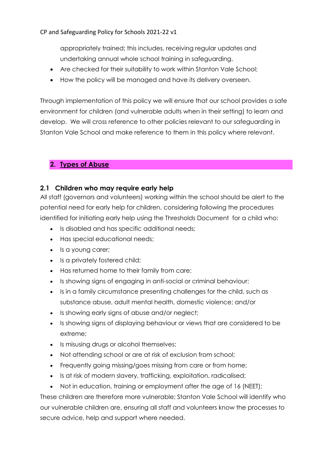appropriately trained; this includes, receiving regular updates and undertaking annual whole school training in safeguarding.

- Are checked for their suitability to work within Stanton Vale School;
- How the policy will be managed and have its delivery overseen.

Through implementation of this policy we will ensure that our school provides a safe environment for children (and vulnerable adults when in their setting) to learn and develop. We will cross reference to other policies relevant to our safeguarding in Stanton Vale School and make reference to them in this policy where relevant.

#### **2. Types of Abuse**

#### **2.1 Children who may require early help**

All staff (governors and volunteers) working within the school should be alert to the potential need for early help for children, considering following the procedures identified for initiating early help using the Thresholds Document for a child who:

- Is disabled and has specific additional needs;
- Has special educational needs;
- Is a young carer;
- Is a privately fostered child;
- Has returned home to their family from care:
- Is showing signs of engaging in anti-social or criminal behaviour;
- Is in a family circumstance presenting challenges for the child, such as substance abuse, adult mental health, domestic violence; and/or
- Is showing early signs of abuse and/or neglect;
- Is showing signs of displaying behaviour or views that are considered to be extreme;
- Is misusing drugs or alcohol themselves:
- Not attending school or are at risk of exclusion from school;
- Frequently going missing/goes missing from care or from home;
- Is at risk of modern slavery, trafficking, exploitation, radicalised;
- Not in education, training or employment after the age of 16 (NEET);

These children are therefore more vulnerable; Stanton Vale School will identify who our vulnerable children are, ensuring all staff and volunteers know the processes to secure advice, help and support where needed.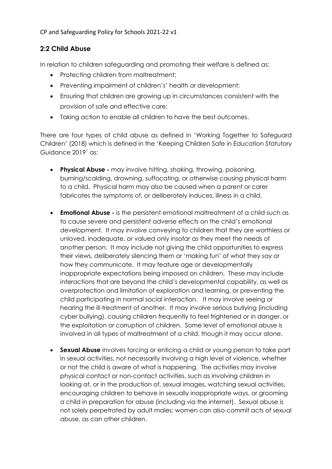#### **2:2 Child Abuse**

In relation to children safeguarding and promoting their welfare is defined as:

- Protecting children from maltreatment;
- Preventing impairment of children's' health or development;
- Ensuring that children are growing up in circumstances consistent with the provision of safe and effective care;
- Taking action to enable all children to have the best outcomes.

There are four types of child abuse as defined in 'Working Together to Safeguard Children' (2018) which is defined in the 'Keeping Children Safe in Education Statutory Guidance 2019' as:

- **Physical Abuse -** may involve hitting, shaking, throwing, poisoning, burning/scalding, drowning, suffocating, or otherwise causing physical harm to a child. Physical harm may also be caused when a parent or carer fabricates the symptoms of, or deliberately induces, illness in a child.
- **Emotional Abuse -** is the persistent emotional maltreatment of a child such as to cause severe and persistent adverse effects on the child's emotional development. It may involve conveying to children that they are worthless or unloved, inadequate, or valued only insofar as they meet the needs of another person. It may include not giving the child opportunities to express their views, deliberately silencing them or 'making fun' of what they say or how they communicate. It may feature age or developmentally inappropriate expectations being imposed on children. These may include interactions that are beyond the child's developmental capability, as well as overprotection and limitation of exploration and learning, or preventing the child participating in normal social interaction. It may involve seeing or hearing the ill-treatment of another. It may involve serious bullying (including cyber bullying), causing children frequently to feel frightened or in danger, or the exploitation or corruption of children. Some level of emotional abuse is involved in all types of maltreatment of a child, though it may occur alone.
- **Sexual Abuse** involves forcing or enticing a child or young person to take part in sexual activities, not necessarily involving a high level of violence, whether or not the child is aware of what is happening. The activities may involve physical contact or non-contact activities, such as involving children in looking at, or in the production of, sexual images, watching sexual activities, encouraging children to behave in sexually inappropriate ways, or grooming a child in preparation for abuse (including via the internet). Sexual abuse is not solely perpetrated by adult males; women can also commit acts of sexual abuse, as can other children.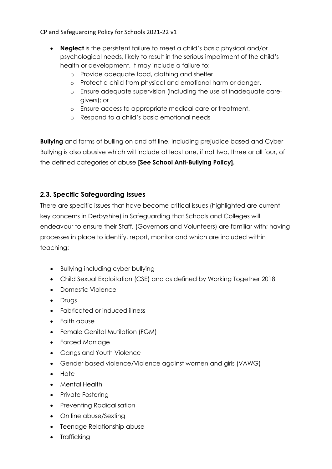- **Neglect** is the persistent failure to meet a child's basic physical and/or psychological needs, likely to result in the serious impairment of the child's health or development. It may include a failure to:
	- o Provide adequate food, clothing and shelter.
	- o Protect a child from physical and emotional harm or danger.
	- o Ensure adequate supervision (including the use of inadequate caregivers); or
	- o Ensure access to appropriate medical care or treatment.
	- o Respond to a child's basic emotional needs

**Bullying** and forms of bulling on and off line, including prejudice based and Cyber Bullying is also abusive which will include at least one, if not two, three or all four, of the defined categories of abuse **[See School Anti-Bullying Policy].**

#### **2.3. Specific Safeguarding Issues**

There are specific issues that have become critical issues (highlighted are current key concerns in Derbyshire) in Safeguarding that Schools and Colleges will endeavour to ensure their Staff, (Governors and Volunteers) are familiar with; having processes in place to identify, report, monitor and which are included within teaching:

- Bullying including cyber bullying
- Child Sexual Exploitation (CSE) and as defined by Working Together 2018
- Domestic Violence
- Drugs
- Fabricated or induced illness
- Faith abuse
- Female Genital Mutilation (FGM)
- Forced Marriage
- Gangs and Youth Violence
- Gender based violence/Violence against women and girls (VAWG)
- Hate
- Mental Health
- Private Fostering
- **•** Preventing Radicalisation
- On line abuse/Sexting
- Teenage Relationship abuse
- Trafficking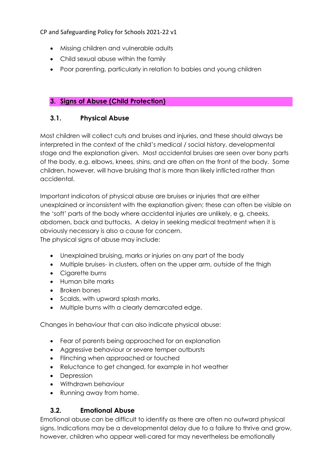- Missing children and vulnerable adults
- Child sexual abuse within the family
- Poor parenting, particularly in relation to babies and young children

#### **3. Signs of Abuse (Child Protection)**

#### **3.1. Physical Abuse**

Most children will collect cuts and bruises and injuries, and these should always be interpreted in the context of the child's medical / social history, developmental stage and the explanation given. Most accidental bruises are seen over bony parts of the body, e.g. elbows, knees, shins, and are often on the front of the body. Some children, however, will have bruising that is more than likely inflicted rather than accidental.

Important indicators of physical abuse are bruises or injuries that are either unexplained or inconsistent with the explanation given; these can often be visible on the 'soft' parts of the body where accidental injuries are unlikely, e g, cheeks, abdomen, back and buttocks. A delay in seeking medical treatment when it is obviously necessary is also a cause for concern.

The physical signs of abuse may include:

- Unexplained bruising, marks or injuries on any part of the body
- Multiple bruises- in clusters, often on the upper arm, outside of the thigh
- Cigarette burns
- Human bite marks
- Broken bones
- Scalds, with upward splash marks.
- Multiple burns with a clearly demarcated edge.

Changes in behaviour that can also indicate physical abuse:

- Fear of parents being approached for an explanation
- Aggressive behaviour or severe temper outbursts
- Flinching when approached or touched
- Reluctance to get changed, for example in hot weather
- Depression
- Withdrawn behaviour
- Running away from home.

#### **3.2. Emotional Abuse**

Emotional abuse can be difficult to identify as there are often no outward physical signs. Indications may be a developmental delay due to a failure to thrive and grow, however, children who appear well-cared for may nevertheless be emotionally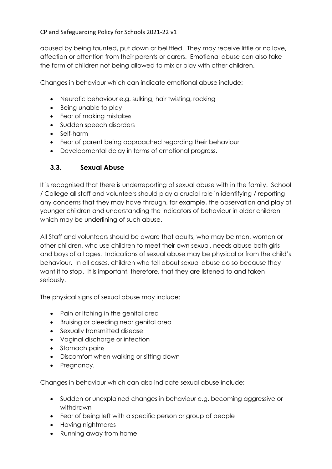abused by being taunted, put down or belittled. They may receive little or no love, affection or attention from their parents or carers. Emotional abuse can also take the form of children not being allowed to mix or play with other children.

Changes in behaviour which can indicate emotional abuse include:

- Neurotic behaviour e.g. sulking, hair twisting, rocking
- Being unable to play
- Fear of making mistakes
- Sudden speech disorders
- Self-harm
- Fear of parent being approached regarding their behaviour
- Developmental delay in terms of emotional progress.

#### **3.3. Sexual Abuse**

It is recognised that there is underreporting of sexual abuse with in the family. School / College all staff and volunteers should play a crucial role in identifying / reporting any concerns that they may have through, for example, the observation and play of younger children and understanding the indicators of behaviour in older children which may be underlining of such abuse.

All Staff and volunteers should be aware that adults, who may be men, women or other children, who use children to meet their own sexual, needs abuse both girls and boys of all ages. Indications of sexual abuse may be physical or from the child's behaviour. In all cases, children who tell about sexual abuse do so because they want it to stop. It is important, therefore, that they are listened to and taken seriously.

The physical signs of sexual abuse may include:

- Pain or itching in the genital area
- Bruising or bleeding near genital area
- Sexually transmitted disease
- Vaginal discharge or infection
- Stomach pains
- Discomfort when walking or sitting down
- Pregnancy.

Changes in behaviour which can also indicate sexual abuse include:

- Sudden or unexplained changes in behaviour e.g. becoming aggressive or withdrawn
- Fear of being left with a specific person or group of people
- Having nightmares
- Running away from home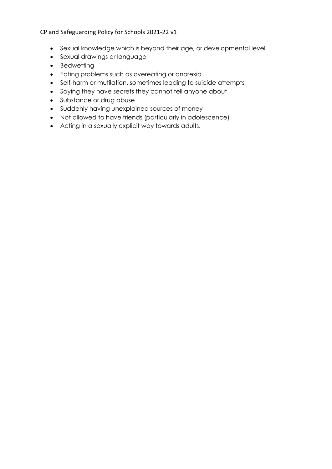- Sexual knowledge which is beyond their age, or developmental level
- Sexual drawings or language
- Bedwetting
- Eating problems such as overeating or anorexia
- Self-harm or mutilation, sometimes leading to suicide attempts
- Saying they have secrets they cannot tell anyone about
- Substance or drug abuse
- Suddenly having unexplained sources of money
- Not allowed to have friends (particularly in adolescence)
- Acting in a sexually explicit way towards adults.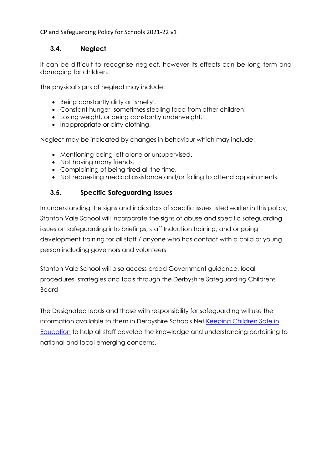#### **3.4. Neglect**

It can be difficult to recognise neglect, however its effects can be long term and damaging for children.

The physical signs of neglect may include:

- Being constantly dirty or 'smelly'.
- Constant hunger, sometimes stealing food from other children.
- Losing weight, or being constantly underweight.
- Inappropriate or dirty clothing.

Neglect may be indicated by changes in behaviour which may include:

- Mentioning being left alone or unsupervised.
- Not having many friends.
- Complaining of being tired all the time.
- Not requesting medical assistance and/or failing to attend appointments.

#### **3.5. Specific Safeguarding Issues**

In understanding the signs and indicators of specific issues listed earlier in this policy, Stanton Vale School will incorporate the signs of abuse and specific safeguarding issues on safeguarding into briefings, staff Induction training, and ongoing development training for all staff / anyone who has contact with a child or young person including governors and volunteers

Stanton Vale School will also access broad Government guidance, local procedures, strategies and tools through the [Derbyshire Safeguarding Childrens](http://www.derbyshirescb.org.uk/)  [Board](http://www.derbyshirescb.org.uk/)

The Designated leads and those with responsibility for safeguarding will use the information available to them in Derbyshire [Schools Net Keeping Children Safe in](https://schoolsnet.derbyshire.gov.uk/keeping-children-safe-in-education/keeping-children-safe-in-education.aspx)  [Education](https://schoolsnet.derbyshire.gov.uk/keeping-children-safe-in-education/keeping-children-safe-in-education.aspx) to help all staff develop the knowledge and understanding pertaining to national and local emerging concerns.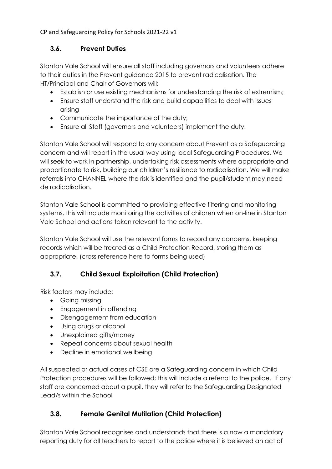#### **3.6. Prevent Duties**

Stanton Vale School will ensure all staff including governors and volunteers adhere to their duties in the Prevent guidance 2015 to prevent radicalisation. The HT/Principal and Chair of Governors will:

- Establish or use existing mechanisms for understanding the risk of extremism;
- Ensure staff understand the risk and build capabilities to deal with issues arising
- Communicate the importance of the duty;
- Ensure all Staff (governors and volunteers) implement the duty.

Stanton Vale School will respond to any concern about Prevent as a Safeguarding concern and will report in the usual way using local Safeguarding Procedures. We will seek to work in partnership, undertaking risk assessments where appropriate and proportionate to risk, building our children's resilience to radicalisation. We will make referrals into CHANNEL where the risk is identified and the pupil/student may need de radicalisation.

Stanton Vale School is committed to providing effective filtering and monitoring systems, this will include monitoring the activities of children when on-line in Stanton Vale School and actions taken relevant to the activity.

Stanton Vale School will use the relevant forms to record any concerns, keeping records which will be treated as a Child Protection Record, storing them as appropriate. (cross reference here to forms being used)

#### **3.7. Child Sexual Exploitation (Child Protection)**

Risk factors may include;

- Going missing
- Engagement in offending
- Disengagement from education
- Using drugs or alcohol
- Unexplained gifts/money
- Repeat concerns about sexual health
- Decline in emotional wellbeing

All suspected or actual cases of CSE are a Safeguarding concern in which Child Protection procedures will be followed; this will include a referral to the police. If any staff are concerned about a pupil, they will refer to the Safeguarding Designated Lead/s within the School

#### **3.8. Female Genital Mutilation (Child Protection)**

Stanton Vale School recognises and understands that there is a now a mandatory reporting duty for all teachers to report to the police where it is believed an act of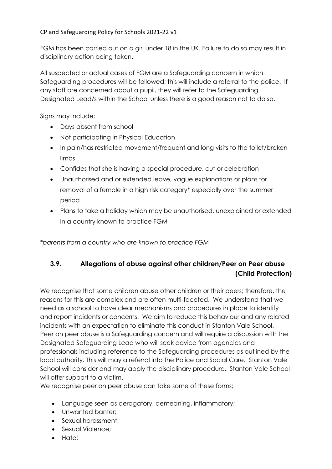FGM has been carried out on a girl under 18 in the UK. Failure to do so may result in disciplinary action being taken.

All suspected or actual cases of FGM are a Safeguarding concern in which Safeguarding procedures will be followed; this will include a referral to the police. If any staff are concerned about a pupil, they will refer to the Safeguarding Designated Lead/s within the School unless there is a good reason not to do so.

Signs may include;

- Days absent from school
- Not participating in Physical Education
- In pain/has restricted movement/frequent and long visits to the toilet/broken limbs
- Confides that she is having a special procedure, cut or celebration
- Unauthorised and or extended leave, vague explanations or plans for removal of a female in a high risk category\* especially over the summer period
- Plans to take a holiday which may be unauthorised, unexplained or extended in a country known to practice FGM

*\*parents from a country who are known to practice FGM*

#### **3.9. Allegations of abuse against other children/Peer on Peer abuse (Child Protection)**

We recognise that some children abuse other children or their peers; therefore, the reasons for this are complex and are often multi-faceted. We understand that we need as a school to have clear mechanisms and procedures in place to identify and report incidents or concerns. We aim to reduce this behaviour and any related incidents with an expectation to eliminate this conduct in Stanton Vale School. Peer on peer abuse is a Safeguarding concern and will require a discussion with the Designated Safeguarding Lead who will seek advice from agencies and professionals including reference to the Safeguarding procedures as outlined by the local authority. This will may a referral into the Police and Social Care. Stanton Vale School will consider and may apply the disciplinary procedure. Stanton Vale School will offer support to a victim.

We recognise peer on peer abuse can take some of these forms;

- Language seen as derogatory, demeaning, inflammatory;
- Unwanted banter:
- Sexual harassment;
- Sexual Violence;
- Hate: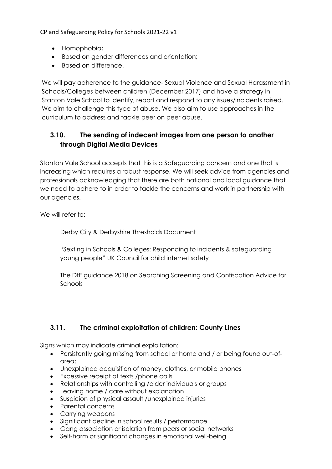- Homophobia;
- Based on gender differences and orientation;
- Based on difference.

We will pay adherence to the guidance- Sexual Violence and Sexual Harassment in Schools/Colleges between children (December 2017) and have a strategy in Stanton Vale School to identify, report and respond to any issues/incidents raised. We aim to challenge this type of abuse. We also aim to use approaches in the curriculum to address and tackle peer on peer abuse.

#### **3.10. The sending of indecent images from one person to another through Digital Media Devices**

Stanton Vale School accepts that this is a Safeguarding concern and one that is increasing which requires a robust response. We will seek advice from agencies and professionals acknowledging that there are both national and local guidance that we need to adhere to in order to tackle the concerns and work in partnership with our agencies.

We will refer to:

[Derby City & Derbyshire Thresholds Document](http://www.proceduresonline.com/derbyshire/scbs/user_controlled_lcms_area/uploaded_files/DSCB-Thresholds.pdf)

"Sexting in Schools [& Colleges: Responding to incidents & safeguarding](https://www.gov.uk/government/uploads/system/uploads/attachment_data/file/609874/6_2939_SP_NCA_Sexting_In_Schools_FINAL_Update_Jan17.pdf)  [young people" UK Council for child internet safety](https://www.gov.uk/government/uploads/system/uploads/attachment_data/file/609874/6_2939_SP_NCA_Sexting_In_Schools_FINAL_Update_Jan17.pdf) 

The DfE guidance 2018 [on Searching Screening and Confiscation Advice](https://www.gov.uk/government/publications/searching-screening-and-confiscation) for **[Schools](https://www.gov.uk/government/publications/searching-screening-and-confiscation)** 

#### **3.11. The criminal exploitation of children: County Lines**

Signs which may indicate criminal exploitation:

- Persistently going missing from school or home and / or being found out-ofarea;
- Unexplained acquisition of money, clothes, or mobile phones
- Excessive receipt of texts /phone calls
- Relationships with controlling /older individuals or groups
- Leaving home / care without explanation
- Suspicion of physical assault /unexplained injuries
- Parental concerns
- Carrying weapons
- Significant decline in school results / performance
- Gang association or isolation from peers or social networks
- Self-harm or significant changes in emotional well-being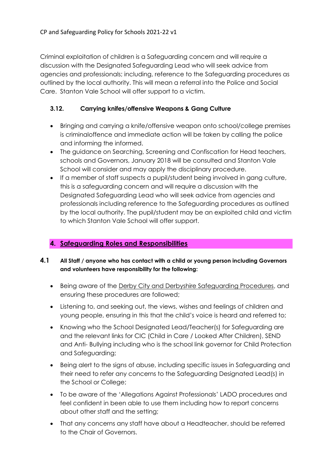Criminal exploitation of children is a Safeguarding concern and will require a discussion with the Designated Safeguarding Lead who will seek advice from agencies and professionals; including, reference to the Safeguarding procedures as outlined by the local authority. This will mean a referral into the Police and Social Care. Stanton Vale School will offer support to a victim.

#### **3.12. Carrying knifes/offensive Weapons & Gang Culture**

- Bringing and carrying a knife/offensive weapon onto school/college premises is criminaloffence and immediate action will be taken by calling the police and informing the informed.
- The guidance on Searching, Screening and Confiscation for Head teachers, schools and Governors, January 2018 will be consulted and Stanton Vale School will consider and may apply the disciplinary procedure.
- If a member of staff suspects a pupil/student being involved in gang culture, this is a safeguarding concern and will require a discussion with the Designated Safeguarding Lead who will seek advice from agencies and professionals including reference to the Safeguarding procedures as outlined by the local authority. The pupil/student may be an exploited child and victim to which Stanton Vale School will offer support.

#### **4. Safeguarding Roles and Responsibilities**

#### **4.1 All Staff / anyone who has contact with a child or young person including Governors and volunteers have responsibility for the following:**

- Being aware of the [Derby City and Derbyshire Safeguarding Procedures,](http://derbyshirescbs.proceduresonline.com/index.htm) and ensuring these procedures are followed;
- Listening to, and seeking out, the views, wishes and feelings of children and young people, ensuring in this that the child's voice is heard and referred to;
- Knowing who the School Designated Lead/Teacher(s) for Safeguarding are and the relevant links for CIC (Child in Care / Looked After Children), SEND and Anti- Bullying including who is the school link governor for Child Protection and Safeguarding;
- Being alert to the signs of abuse, including specific issues in Safeguarding and their need to refer any concerns to the Safeguarding Designated Lead(s) in the School or College;
- To be aware of the 'Allegations Against Professionals' LADO procedures and feel confident in been able to use them including how to report concerns about other staff and the setting;
- That any concerns any staff have about a Headteacher, should be referred to the Chair of Governors.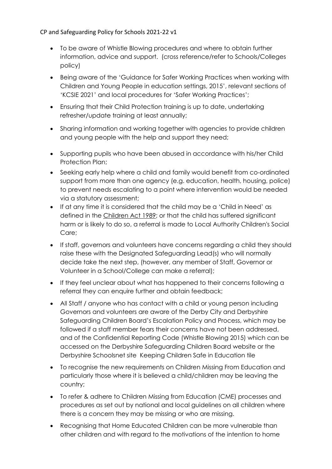- To be aware of Whistle Blowing procedures and where to obtain further information, advice and support. (cross reference/refer to Schools/Colleges policy)
- Being aware of the 'Guidance for Safer Working Practices when working with Children and Young People in education settings, 2015', relevant sections of 'KCSIE 2021' and local procedures for 'Safer Working Practices';
- Ensuring that their Child Protection training is up to date, undertaking refresher/update training at least annually;
- Sharing information and working together with agencies to provide children and young people with the help and support they need;
- Supporting pupils who have been abused in accordance with his/her Child Protection Plan;
- Seeking early help where a child and family would benefit from co-ordinated support from more than one agency (e.g. education, health, housing, police) to prevent needs escalating to a point where intervention would be needed via a statutory assessment;
- If at any time it is considered that the child may be a 'Child in Need' as defined in the [Children Act 1989;](http://www.legislation.gov.uk/ukpga/1989/41/contents) or that the child has suffered significant harm or is likely to do so, a referral is made to Local Authority Children's Social Care;
- If staff, governors and volunteers have concerns regarding a child they should raise these with the Designated Safeguarding Lead(s) who will normally decide take the next step, (however, any member of Staff, Governor or Volunteer in a School/College can make a referral);
- If they feel unclear about what has happened to their concerns following a referral they can enquire further and obtain feedback;
- All Staff / anyone who has contact with a child or young person including Governors and volunteers are aware of the Derby City and Derbyshire Safeguarding Children Board's Escalation Policy and Process, which may be followed if a staff member fears their concerns have not been addressed, and of the Confidential Reporting Code (Whistle Blowing 2015) which can be accessed on the Derbyshire Safeguarding Children Board website or the Derbyshire Schoolsnet site Keeping Children Safe in Education tile
- To recognise the new requirements on Children Missing From Education and particularly those where it is believed a child/children may be leaving the country;
- To refer & adhere to Children Missing from Education (CME) processes and procedures as set out by national and local guidelines on all children where there is a concern they may be missing or who are missing.
- Recognising that Home Educated Children can be more vulnerable than other children and with regard to the motivations of the intention to home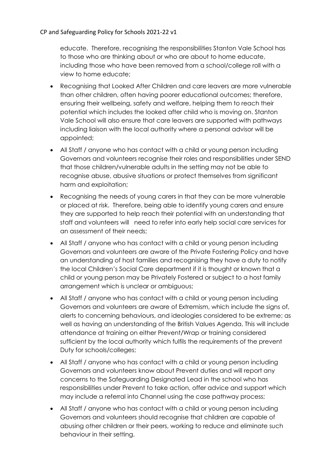educate. Therefore, recognising the responsibilities Stanton Vale School has to those who are thinking about or who are about to home educate, including those who have been removed from a school/college roll with a view to home educate;

- Recognising that Looked After Children and care leavers are more vulnerable than other children, often having poorer educational outcomes; therefore, ensuring their wellbeing, safety and welfare, helping them to reach their potential which includes the looked after child who is moving on. Stanton Vale School will also ensure that care leavers are supported with pathways including liaison with the local authority where a personal advisor will be appointed;
- All Staff / anyone who has contact with a child or young person including Governors and volunteers recognise their roles and responsibilities under SEND that those children/vulnerable adults in the setting may not be able to recognise abuse, abusive situations or protect themselves from significant harm and exploitation;
- Recognising the needs of young carers in that they can be more vulnerable or placed at risk. Therefore, being able to identify young carers and ensure they are supported to help reach their potential with an understanding that staff and volunteers will need to refer into early help social care services for an assessment of their needs;
- All Staff / anyone who has contact with a child or young person including Governors and volunteers are aware of the Private Fostering Policy and have an understanding of host families and recognising they have a duty to notify the local Children's Social Care department if it is thought or known that a child or young person may be Privately Fostered or subject to a host family arrangement which is unclear or ambiguous;
- All Staff / anyone who has contact with a child or young person including Governors and volunteers are aware of Extremism, which include the signs of, alerts to concerning behaviours, and ideologies considered to be extreme; as well as having an understanding of the British Values Agenda. This will include attendance at training on either Prevent/Wrap or training considered sufficient by the local authority which fulfils the requirements of the prevent Duty for schools/colleges;
- All Staff / anyone who has contact with a child or young person including Governors and volunteers know about Prevent duties and will report any concerns to the Safeguarding Designated Lead in the school who has responsibilities under Prevent to take action, offer advice and support which may include a referral into Channel using the case pathway process;
- All Staff / anyone who has contact with a child or young person including Governors and volunteers should recognise that children are capable of abusing other children or their peers, working to reduce and eliminate such behaviour in their setting.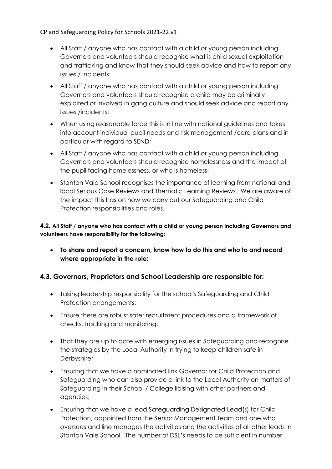- All Staff / anyone who has contact with a child or young person including Governors and volunteers should recognise what is child sexual exploitation and trafficking and know that they should seek advice and how to report any issues / incidents:
- All Staff / anyone who has contact with a child or young person including Governors and volunteers should recognise a child may be criminally exploited or involved in gang culture and should seek advice and report any issues /incidents;
- When using reasonable force this is in line with national guidelines and takes into account individual pupil needs and risk management /care plans and in particular with regard to SEND;
- All Staff / anyone who has contact with a child or young person including Governors and volunteers should recognise homelessness and the impact of the pupil facing homelessness, or who is homeless;
- Stanton Vale School recognises the importance of learning from national and local Serious Case Reviews and Thematic Learning Reviews. We are aware of the impact this has on how we carry out our Safeguarding and Child Protection responsibilities and roles.

#### **4.2. All Staff / anyone who has contact with a child or young person including Governors and volunteers have responsibility for the following:**

 **To share and report a concern, know how to do this and who to and record where appropriate in the role:**

#### **4.3. Governors, Proprietors and School Leadership are responsible for:**

- Taking leadership responsibility for the school's Safeguarding and Child Protection arrangements;
- Ensure there are robust safer recruitment procedures and a framework of checks, tracking and monitoring;
- That they are up to date with emerging issues in Safeguarding and recognise the strategies by the Local Authority in trying to keep children safe in Derbyshire;
- Ensuring that we have a nominated link Governor for Child Protection and Safeguarding who can also provide a link to the Local Authority on matters of Safeguarding in their School / College liaising with other partners and agencies;
- Ensuring that we have a lead Safeguarding Designated Lead(s) for Child Protection, appointed from the Senior Management Team and one who oversees and line manages the activities and the activities of all other leads in Stanton Vale School. The number of DSL's needs to be sufficient in number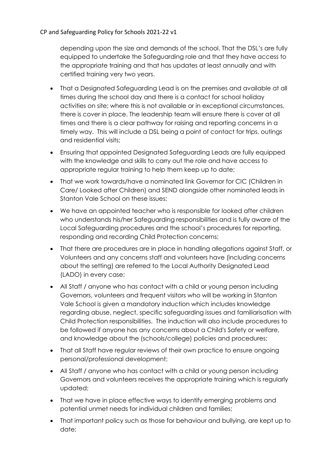depending upon the size and demands of the school. That the DSL's are fully equipped to undertake the Safeguarding role and that they have access to the appropriate training and that has updates at least annually and with certified training very two years.

- That a Designated Safeguarding Lead is on the premises and available at all times during the school day and there is a contact for school holiday activities on site; where this is not available or in exceptional circumstances, there is cover in place. The leadership team will ensure there is cover at all times and there is a clear pathway for raising and reporting concerns in a timely way. This will include a DSL being a point of contact for trips, outings and residential visits;
- Ensuring that appointed Designated Safeguarding Leads are fully equipped with the knowledge and skills to carry out the role and have access to appropriate regular training to help them keep up to date;
- That we work towards/have a nominated link Governor for CIC (Children in Care/ Looked after Children) and SEND alongside other nominated leads in Stanton Vale School on these issues;
- We have an appointed teacher who is responsible for looked after children who understands his/her Safeguarding responsibilities and is fully aware of the Local Safeguarding procedures and the school's procedures for reporting, responding and recording Child Protection concerns;
- That there are procedures are in place in handling allegations against Staff, or Volunteers and any concerns staff and volunteers have (including concerns about the setting) are referred to the Local Authority Designated Lead (LADO) in every case;
- All Staff / anyone who has contact with a child or young person including Governors, volunteers and frequent visitors who will be working in Stanton Vale School is given a mandatory induction which includes knowledge regarding abuse, neglect, specific safeguarding issues and familiarisation with Child Protection responsibilities. The induction will also include procedures to be followed if anyone has any concerns about a Child's Safety or welfare, and knowledge about the (schools/college) policies and procedures;
- That all Staff have regular reviews of their own practice to ensure ongoing personal/professional development;
- All Staff / anyone who has contact with a child or young person including Governors and volunteers receives the appropriate training which is regularly updated;
- That we have in place effective ways to identify emerging problems and potential unmet needs for individual children and families;
- That important policy such as those for behaviour and bullying, are kept up to date;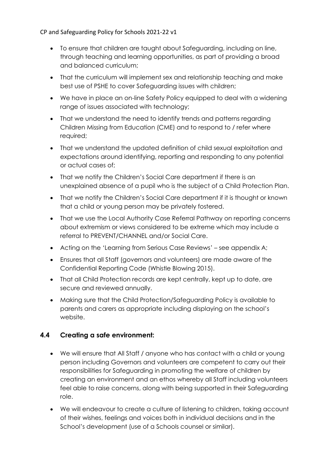- To ensure that children are taught about Safeguarding, including on line, through teaching and learning opportunities, as part of providing a broad and balanced curriculum;
- That the curriculum will implement sex and relationship teaching and make best use of PSHE to cover Safeguarding issues with children;
- We have in place an on-line Safety Policy equipped to deal with a widening range of issues associated with technology;
- That we understand the need to identify trends and patterns regarding Children Missing from Education (CME) and to respond to / refer where required;
- That we understand the updated definition of child sexual exploitation and expectations around identifying, reporting and responding to any potential or actual cases of;
- That we notify the Children's Social Care department if there is an unexplained absence of a pupil who is the subject of a Child Protection Plan.
- That we notify the Children's Social Care department if it is thought or known that a child or young person may be privately fostered.
- That we use the Local Authority Case Referral Pathway on reporting concerns about extremism or views considered to be extreme which may include a referral to PREVENT/CHANNEL and/or Social Care.
- Acting on the 'Learning from Serious Case Reviews' see appendix A;
- Ensures that all Staff (governors and volunteers) are made aware of the Confidential Reporting Code (Whistle Blowing 2015).
- That all Child Protection records are kept centrally, kept up to date, are secure and reviewed annually.
- Making sure that the Child Protection/Safeguarding Policy is available to parents and carers as appropriate including displaying on the school's website.

#### **4.4 Creating a safe environment:**

- We will ensure that All Staff / anyone who has contact with a child or young person including Governors and volunteers are competent to carry out their responsibilities for Safeguarding in promoting the welfare of children by creating an environment and an ethos whereby all Staff including volunteers feel able to raise concerns, along with being supported in their Safeguarding role.
- We will endeavour to create a culture of listening to children, taking account of their wishes, feelings and voices both in individual decisions and in the School's development (use of a Schools counsel or similar).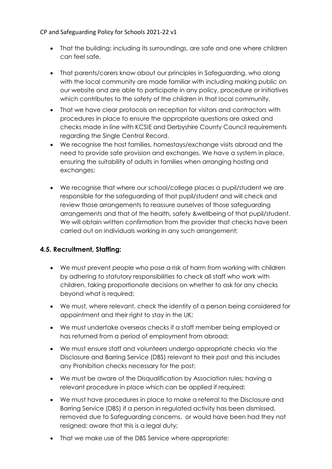- That the building; including its surroundings, are safe and one where children can feel safe.
- That parents/carers know about our principles in Safeguarding, who along with the local community are made familiar with including making public on our website and are able to participate in any policy, procedure or initiatives which contributes to the safety of the children in that local community.
- That we have clear protocols on reception for visitors and contractors with procedures in place to ensure the appropriate questions are asked and checks made in line with KCSIE and Derbyshire County Council requirements regarding the Single Central Record.
- We recognise the host families, homestays/exchange visits abroad and the need to provide safe provision and exchanges. We have a system in place, ensuring the suitability of adults in families when arranging hosting and exchanges;
- We recognise that where our school/college places a pupil/student we are responsible for the safeguarding of that pupil/student and will check and review those arrangements to reassure ourselves of those safeguarding arrangements and that of the health, safety &wellbeing of that pupil/student. We will obtain written confirmation from the provider that checks have been carried out on individuals working in any such arrangement;

#### **4.5. Recruitment, Staffing:**

- We must prevent people who pose a risk of harm from working with children by adhering to statutory responsibilities to check all staff who work with children, taking proportionate decisions on whether to ask for any checks beyond what is required;
- We must, where relevant, check the identity of a person being considered for appointment and their right to stay in the UK;
- We must undertake overseas checks if a staff member being employed or has returned from a period of employment from abroad;
- We must ensure staff and volunteers undergo appropriate checks via the Disclosure and Barring Service (DBS) relevant to their post and this includes any Prohibition checks necessary for the post;
- We must be aware of the Disqualification by Association rules; having a relevant procedure in place which can be applied if required;
- We must have procedures in place to make a referral to the Disclosure and Barring Service (DBS) if a person in regulated activity has been dismissed, removed due to Safeguarding concerns, or would have been had they not resigned; aware that this is a legal duty;
- That we make use of the DBS Service where appropriate;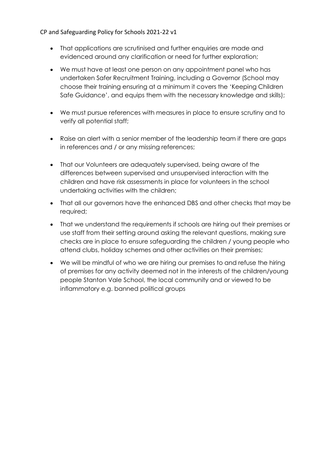- That applications are scrutinised and further enquiries are made and evidenced around any clarification or need for further exploration;
- We must have at least one person on any appointment panel who has undertaken Safer Recruitment Training, including a Governor (School may choose their training ensuring at a minimum it covers the 'Keeping Children Safe Guidance', and equips them with the necessary knowledge and skills);
- We must pursue references with measures in place to ensure scrutiny and to verify all potential staff;
- Raise an alert with a senior member of the leadership team if there are gaps in references and / or any missing references;
- That our Volunteers are adequately supervised, being aware of the differences between supervised and unsupervised interaction with the children and have risk assessments in place for volunteers in the school undertaking activities with the children;
- That all our governors have the enhanced DBS and other checks that may be required;
- That we understand the requirements if schools are hiring out their premises or use staff from their setting around asking the relevant questions, making sure checks are in place to ensure safeguarding the children / young people who attend clubs, holiday schemes and other activities on their premises;
- We will be mindful of who we are hiring our premises to and refuse the hiring of premises for any activity deemed not in the interests of the children/young people Stanton Vale School, the local community and or viewed to be inflammatory e.g. banned political groups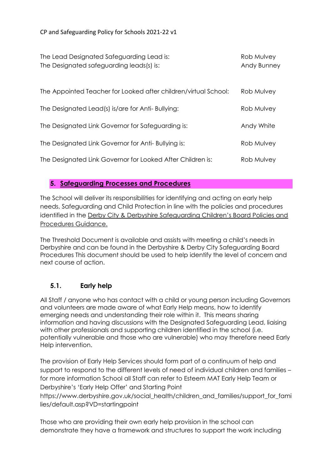| The Lead Designated Safeguarding Lead is:<br>The Designated safeguarding leads(s) is: | Rob Mulvey<br>Andy Bunney |
|---------------------------------------------------------------------------------------|---------------------------|
| The Appointed Teacher for Looked after children/virtual School:                       | Rob Mulvey                |
| The Designated Lead(s) is/are for Anti-Bullying:                                      | Rob Mulvey                |
| The Designated Link Governor for Safeguarding is:                                     | Andy White                |
| The Designated Link Governor for Anti-Bullying is:                                    | Rob Mulvey                |
| The Designated Link Governor for Looked After Children is:                            | Rob Mulvey                |

#### **5. Safeguarding Processes and Procedures**

The School will deliver its responsibilities for identifying and acting on early help needs, Safeguarding and Child Protection in line with the policies and procedures identified in the Derby City & [Derbyshire Safeguarding Children's Board](http://derbyshirescbs.proceduresonline.com/index.htm) Policies and [Procedures Guidance.](http://derbyshirescbs.proceduresonline.com/index.htm)

The Threshold Document is available and assists with meeting a child's needs in Derbyshire and can be found in the Derbyshire & Derby City Safeguarding Board Procedures This document should be used to help identify the level of concern and next course of action.

#### **5.1. Early help**

All Staff / anyone who has contact with a child or young person including Governors and volunteers are made aware of what Early Help means, how to identify emerging needs and understanding their role within it. This means sharing information and having discussions with the Designated Safeguarding Lead, liaising with other professionals and supporting children identified in the school (i.e. potentially vulnerable and those who are vulnerable) who may therefore need Early Help intervention.

The provision of Early Help Services should form part of a continuum of help and support to respond to the different levels of need of individual children and families – for more information School all Staff can refer to Esteem MAT Early Help Team or Derbyshire's 'Early Help Offer' and Starting Point [https://www.derbyshire.gov.uk/social\\_health/children\\_and\\_families/support\\_for\\_fami](https://www.derbyshire.gov.uk/social_health/children_and_families/support_for_families/default.asp?VD=startingpoint) [lies/default.asp?VD=startingpoint](https://www.derbyshire.gov.uk/social_health/children_and_families/support_for_families/default.asp?VD=startingpoint)

Those who are providing their own early help provision in the school can demonstrate they have a framework and structures to support the work including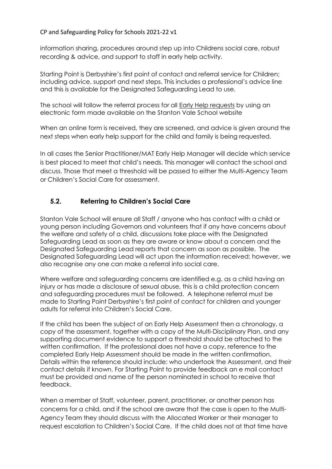information sharing, procedures around step up into Childrens social care, robust recording & advice, and support to staff in early help activity.

Starting Point is Derbyshire's first point of contact and referral service for Children; including advice, support and next steps. This includes a professional's advice line and this is available for the Designated Safeguarding Lead to use.

The school will follow the referral process for all **Early Help requests** by using an electronic form made available on the Stanton Vale School website

When an online form is received, they are screened, and advice is given around the next steps when early help support for the child and family is being requested.

In all cases the Senior Practitioner/MAT Early Help Manager will decide which service is best placed to meet that child's needs. This manager will contact the school and discuss. Those that meet a threshold will be passed to either the Multi-Agency Team or Children's Social Care for assessment.

#### **5.2. Referring to Children's Social Care**

Stanton Vale School will ensure all Staff / anyone who has contact with a child or young person including Governors and volunteers that if any have concerns about the welfare and safety of a child, discussions take place with the Designated Safeguarding Lead as soon as they are aware or know about a concern and the Designated Safeguarding Lead reports that concern as soon as possible. The Designated Safeguarding Lead will act upon the information received; however, we also recognise any one can make a referral into social care.

Where welfare and safeguarding concerns are identified e.g. as a child having an injury or has made a disclosure of sexual abuse, this is a child protection concern and safeguarding procedures must be followed. A telephone referral must be made to Starting Point Derbyshire's first point of contact for children and younger adults for referral into Children's Social Care.

If the child has been the subject of an Early Help Assessment then a chronology, a copy of the assessment, together with a copy of the Multi-Disciplinary Plan, and any supporting document evidence to support a threshold should be attached to the written confirmation. If the professional does not have a copy, reference to the completed Early Help Assessment should be made in the written confirmation. Details within the reference should include: who undertook the Assessment, and their contact details if known. For Starting Point to provide feedback an e mail contact must be provided and name of the person nominated in school to receive that feedback.

When a member of Staff, volunteer, parent, practitioner, or another person has concerns for a child, and if the school are aware that the case is open to the Multi-Agency Team they should discuss with the Allocated Worker or their manager to request escalation to Children's Social Care. If the child does not at that time have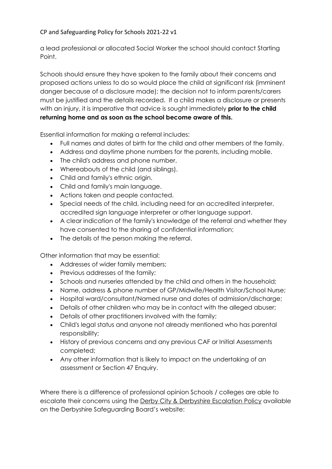a lead professional or allocated Social Worker the school should contact Starting Point.

Schools should ensure they have spoken to the family about their concerns and proposed actions unless to do so would place the child at significant risk (imminent danger because of a disclosure made); the decision not to inform parents/carers must be justified and the details recorded. If a child makes a disclosure or presents with an injury, it is imperative that advice is sought immediately **prior to the child returning home and as soon as the school become aware of this.**

Essential information for making a referral includes:

- Full names and dates of birth for the child and other members of the family.
- Address and daytime phone numbers for the parents, including mobile.
- The child's address and phone number.
- Whereabouts of the child (and siblings).
- Child and family's ethnic origin.
- Child and family's main language.
- Actions taken and people contacted.
- Special needs of the child, including need for an accredited interpreter, accredited sign language interpreter or other language support.
- A clear indication of the family's knowledge of the referral and whether they have consented to the sharing of confidential information;
- The details of the person making the referral.

Other information that may be essential:

- Addresses of wider family members;
- Previous addresses of the family;
- Schools and nurseries attended by the child and others in the household;
- Name, address & phone number of GP/Midwife/Health Visitor/School Nurse;
- Hospital ward/consultant/Named nurse and dates of admission/discharge;
- Details of other children who may be in contact with the alleged abuser;
- Details of other practitioners involved with the family;
- Child's legal status and anyone not already mentioned who has parental responsibility;
- History of previous concerns and any previous [CAF](http://trixresources.proceduresonline.com/nat_key/keywords/common_assess_frame.html) or [Initial Assessments](http://trixresources.proceduresonline.com/nat_key/keywords/initial_assessment.html) completed;
- Any other information that is likely to impact on the undertaking of an assessment or [Section 47 Enquiry.](http://trixresources.proceduresonline.com/nat_key/keywords/sec_47_enq.html)

Where there is a difference of professional opinion Schools / colleges are able to escalate their concerns using the [Derby City & Derbyshire](http://www.proceduresonline.com/derbyshire/scbs/user_controlled_lcms_area/uploaded_files/DSCB-Escalation-Policy.pdf?zoom_highlight=escalation#search="escalation" ) Escalation Policy available on the Derbyshire Safeguarding Board's website: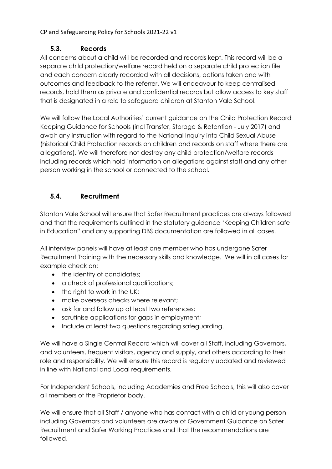#### **5.3. Records**

All concerns about a child will be recorded and records kept. This record will be a separate child protection/welfare record held on a separate child protection file and each concern clearly recorded with all decisions, actions taken and with outcomes and feedback to the referrer. We will endeavour to keep centralised records, hold them as private and confidential records but allow access to key staff that is designated in a role to safeguard children at Stanton Vale School.

We will follow the Local Authorities' current guidance on the Child Protection Record Keeping Guidance for Schools (incl Transfer, Storage & Retention - July 2017) and await any instruction with regard to the National Inquiry into Child Sexual Abuse (historical Child Protection records on children and records on staff where there are allegations). We will therefore not destroy any child protection/welfare records including records which hold information on allegations against staff and any other person working in the school or connected to the school.

#### **5.4. Recruitment**

Stanton Vale School will ensure that Safer Recruitment practices are always followed and that the requirements outlined in the statutory guidance 'Keeping Children safe in Education" and any supporting DBS documentation are followed in all cases.

All interview panels will have at least one member who has undergone Safer Recruitment Training with the necessary skills and knowledge. We will in all cases for example check on;

- the identity of candidates;
- a check of professional qualifications;
- $\bullet$  the right to work in the UK;
- make overseas checks where relevant;
- ask for and follow up at least two references;
- scrutinise applications for gaps in employment;
- Include at least two questions regarding safeguarding.

We will have a Single Central Record which will cover all Staff, including Governors, and volunteers, frequent visitors, agency and supply, and others according to their role and responsibility. We will ensure this record is regularly updated and reviewed in line with National and Local requirements.

For Independent Schools, including Academies and Free Schools, this will also cover all members of the Proprietor body.

We will ensure that all Staff / anyone who has contact with a child or young person including Governors and volunteers are aware of Government Guidance on Safer Recruitment and Safer Working Practices and that the recommendations are followed.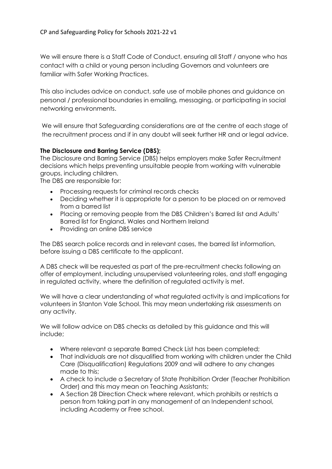We will ensure there is a Staff Code of Conduct, ensuring all Staff / anyone who has contact with a child or young person including Governors and volunteers are familiar with Safer Working Practices.

This also includes advice on conduct, safe use of mobile phones and guidance on personal / professional boundaries in emailing, messaging, or participating in social networking environments.

We will ensure that Safeguarding considerations are at the centre of each stage of the recruitment process and if in any doubt will seek further HR and or legal advice.

#### **The Disclosure and Barring Service (DBS);**

The Disclosure and Barring Service (DBS) helps employers make Safer Recruitment decisions which helps preventing unsuitable people from working with vulnerable groups, including children.

The DBS are responsible for:

- Processing requests for criminal records checks
- Deciding whether it is appropriate for a person to be placed on or removed from a barred list
- Placing or removing people from the DBS Children's Barred list and Adults' Barred list for England, Wales and Northern Ireland
- Providing an online DBS service

The DBS search police records and in relevant cases, the barred list information, before issuing a DBS certificate to the applicant.

A DBS check will be requested as part of the pre-recruitment checks following an offer of employment, including unsupervised volunteering roles, and staff engaging in regulated activity, where the definition of regulated activity is met.

We will have a clear understanding of what regulated activity is and implications for volunteers in Stanton Vale School. This may mean undertaking risk assessments on any activity.

We will follow advice on DBS checks as detailed by this guidance and this will include;

- Where relevant a separate Barred Check List has been completed;
- That individuals are not disqualified from working with children under the Child Care (Disqualification) Regulations 2009 and will adhere to any changes made to this;
- A check to include a Secretary of State Prohibition Order (Teacher Prohibition Order) and this may mean on Teaching Assistants;
- A Section 28 Direction Check where relevant, which prohibits or restricts a person from taking part in any management of an Independent school, including Academy or Free school.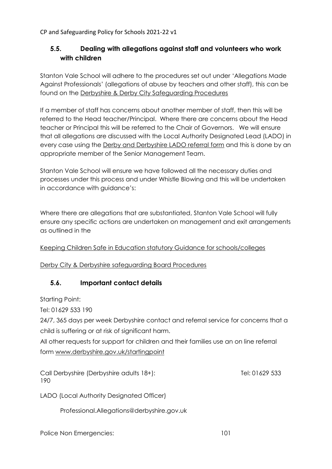#### **5.5. Dealing with allegations against staff and volunteers who work with children**

Stanton Vale School will adhere to the procedures set out under 'Allegations Made Against Professionals' (allegations of abuse by teachers and other staff), this can be found on the [Derbyshire & Derby City Safeguarding Procedures](http://derbyshirescbs.proceduresonline.com/)

If a member of staff has concerns about another member of staff, then this will be referred to the Head teacher/Principal. Where there are concerns about the Head teacher or Principal this will be referred to the Chair of Governors. We will ensure that all allegations are discussed with the Local Authority Designated Lead (LADO) in every case using the [Derby and Derbyshire LADO referral form](http://www.proceduresonline.com/derbyshire/scbs/user_controlled_lcms_area/uploaded_files/Derby%20and%20Derbyshire%20LADO%20referral%20form%20FINAL%20March%202017.docx) and this is done by an appropriate member of the Senior Management Team.

Stanton Vale School will ensure we have followed all the necessary duties and processes under this process and under Whistle Blowing and this will be undertaken in accordance with guidance's:

Where there are allegations that are substantiated, Stanton Vale School will fully ensure any specific actions are undertaken on management and exit arrangements as outlined in the

Keeping Children Safe in Education [statutory Guidance for schools/colleges](https://www.gov.uk/government/publications/keeping-children-safe-in-education--2)

[Derby City & Derbyshire safeguarding Board Procedures](http://derbyshirescbs.proceduresonline.com/docs_library.html)

#### **5.6. Important contact details**

Starting Point:

Tel: 01629 533 190

24/7, 365 days per week Derbyshire contact and referral service for concerns that a child is suffering or at risk of significant harm.

All other requests for support for children and their families use an on line referral form [www.derbyshire.gov.uk/startingpoint](http://www.derbyshire.gov.uk/startingpoint)

Call Derbyshire (Derbyshire adults 18+): Tel: 01629 533 190

LADO (Local Authority Designated Officer)

Professional.Allegations@derbyshire.gov.uk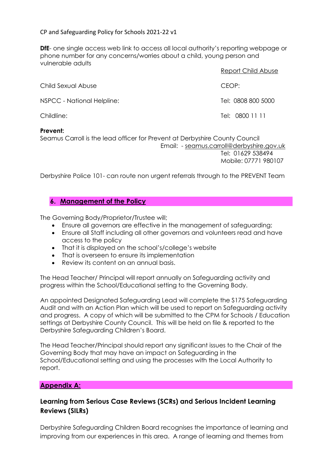**DfE-** one single access web link to access all local authority's reporting webpage or phone number for any concerns/worries about a child, young person and vulnerable adults

[Report Child Abuse](https://www.gov.uk/report-child-abuse)

| Child Sexual Abuse         | CEOP:              |
|----------------------------|--------------------|
| NSPCC - National Helpline: | Tel: 0808 800 5000 |
| Childline:                 | Tel: 0800 11 11    |

#### **Prevent:**

Seamus Carroll is the lead officer for Prevent at Derbyshire County Council Email: - [seamus.carroll@derbyshire.gov.uk](mailto:seamus.carroll@derbyshire.gov.uk) Tel: 01629 538494 Mobile: 07771 980107

Derbyshire Police 101- can route non urgent referrals through to the PREVENT Team

#### **6. Management of the Policy**

The Governing Body/Proprietor/Trustee will;

- Ensure all governors are effective in the management of safeguarding;
- Ensure all Staff including all other governors and volunteers read and have access to the policy
- That it is displayed on the school's/college's website
- That is overseen to ensure its implementation
- Review its content on an annual basis.

The Head Teacher/ Principal will report annually on Safeguarding activity and progress within the School/Educational setting to the Governing Body.

An appointed Designated Safeguarding Lead will complete the S175 Safeguarding Audit and with an Action Plan which will be used to report on Safeguarding activity and progress. A copy of which will be submitted to the CPM for Schools / Education settings at Derbyshire County Council. This will be held on file & reported to the Derbyshire Safeguarding Children's Board.

The Head Teacher/Principal should report any significant issues to the Chair of the Governing Body that may have an impact on Safeguarding in the School/Educational setting and using the processes with the Local Authority to report.

#### **Appendix A:**

#### **Learning from Serious Case Reviews (SCRs) and Serious Incident Learning Reviews (SILRs)**

Derbyshire Safeguarding Children Board recognises the importance of learning and improving from our experiences in this area. A range of learning and themes from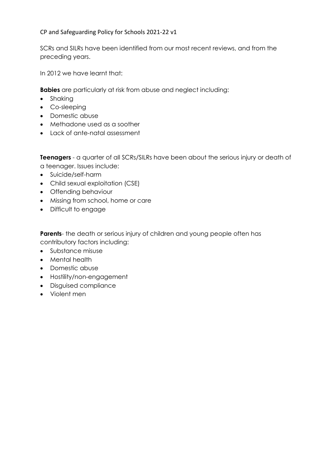SCRs and SILRs have been identified from our most recent reviews, and from the preceding years.

In 2012 we have learnt that:

**Babies** are particularly at risk from abuse and neglect including:

- Shaking
- Co-sleeping
- Domestic abuse
- Methadone used as a soother
- Lack of ante-natal assessment

**Teenagers** - a quarter of all SCRs/SILRs have been about the serious injury or death of a teenager. Issues include:

- Suicide/self-harm
- Child sexual exploitation (CSE)
- Offending behaviour
- Missing from school, home or care
- Difficult to engage

**Parents**- the death or serious injury of children and young people often has contributory factors including:

- Substance misuse
- Mental health
- Domestic abuse
- Hostility/non-engagement
- Disguised compliance
- Violent men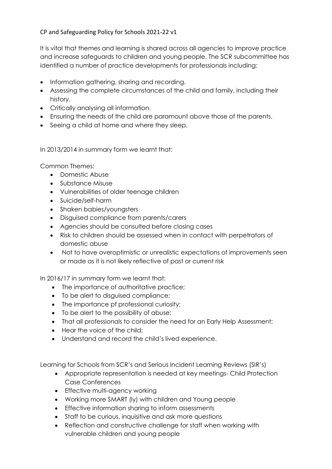It is vital that themes and learning is shared across all agencies to improve practice and increase safeguards to children and young people. The SCR subcommittee has identified a number of practice developments for professionals including:

- Information gathering, sharing and recording.
- Assessing the complete circumstances of the child and family, including their history.
- Critically analysing all information.
- Ensuring the needs of the child are paramount above those of the parents.
- Seeing a child at home and where they sleep.

In 2013/2014 in summary form we learnt that:

Common Themes:

- Domestic Abuse
- Substance Misuse
- Vulnerabilities of older teenage children
- Suicide/self-harm
- Shaken babies/youngsters
- Disguised compliance from parents/carers
- Agencies should be consulted before closing cases
- Risk to children should be assessed when in contact with perpetrators of domestic abuse
- Not to have overoptimistic or unrealistic expectations of improvements seen or made as it is not likely reflective of past or current risk

In 2016/17 in summary form we learnt that:

- The importance of authoritative practice;
- To be alert to disquised compliance;
- The importance pf professional curiosity;
- To be alert to the possibility of abuse;
- That all professionals to consider the need for an Early Help Assessment;
- Hear the voice of the child;
- Understand and record the child's lived experience.

Learning for Schools from SCR's and Serious Incident Learning Reviews (SIR's)

- Appropriate representation is needed at key meetings- Child Protection Case Conferences
- Effective multi-agency working
- Working more SMART (ly) with children and Young people
- Effective information sharing to inform assessments
- Staff to be curious, inquisitive and ask more questions
- Reflection and constructive challenge for staff when working with vulnerable children and young people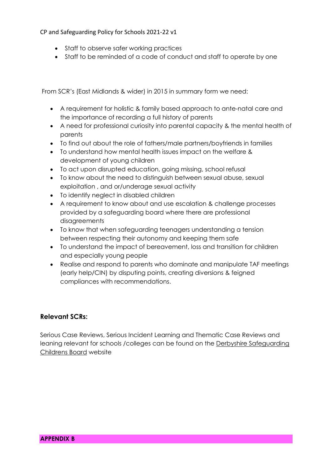- Staff to observe safer working practices
- Staff to be reminded of a code of conduct and staff to operate by one

From SCR's (East Midlands & wider) in 2015 in summary form we need:

- A requirement for holistic & family based approach to ante-natal care and the importance of recording a full history of parents
- A need for professional curiosity into parental capacity & the mental health of parents
- To find out about the role of fathers/male partners/boyfriends in families
- To understand how mental health issues impact on the welfare & development of young children
- To act upon disrupted education, going missing, school refusal
- To know about the need to distinguish between sexual abuse, sexual exploitation , and or/underage sexual activity
- To identify neglect in disabled children
- A requirement to know about and use escalation & challenge processes provided by a safeguarding board where there are professional disagreements
- To know that when safeguarding teenagers understanding a tension between respecting their autonomy and keeping them safe
- To understand the impact of bereavement, loss and transition for children and especially young people
- Realise and respond to parents who dominate and manipulate TAF meetings (early help/CIN) by disputing points, creating diversions & feigned compliances with recommendations.

#### **Relevant SCRs:**

Serious Case Reviews, Serious Incident Learning and Thematic Case Reviews and leaning relevant for schools /colleges can be found on the Derbyshire Safeguarding [Childrens Board](http://www.derbyshirescb.org.uk/professionals/serious-case-reviews/default.asp) website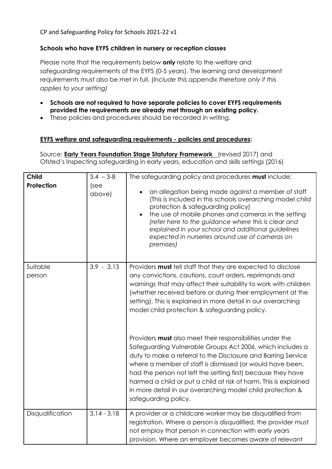#### **Schools who have EYFS children in nursery or reception classes**

Please note that the requirements below **only** relate to the welfare and safeguarding requirements of the EYFS (0-5 years). The learning and development requirements must also be met in full. (*Include this appendix therefore only if this applies to your setting)* 

- **Schools are not required to have separate policies to cover EYFS requirements provided the requirements are already met through an existing policy.**
- These policies and procedures should be recorded in writing.

#### **EYFS welfare and safeguarding requirements - policies and procedures:**

Source: **Early Years Foundation Stage Statutory Framework** (revised 2017) and Ofsted's Inspecting safeguarding in early years, education and skills settings (2016)

| <b>Child</b><br>Protection | $3.4 - 3 - 8$<br>(see<br>above) | The safeguarding policy and procedures must include:<br>an allegation being made against a member of staff<br>(This is included in this schools overarching model child<br>protection & safeguarding policy)<br>the use of mobile phones and cameras in the setting<br>(refer here to the guidance where this is clear and<br>explained in your school and additional guidelines<br>expected in nurseries around use of cameras on<br>premises)                                       |
|----------------------------|---------------------------------|---------------------------------------------------------------------------------------------------------------------------------------------------------------------------------------------------------------------------------------------------------------------------------------------------------------------------------------------------------------------------------------------------------------------------------------------------------------------------------------|
| Suitable<br>person         | $3.9 - 3.13$                    | Providers must tell staff that they are expected to disclose<br>any convictions, cautions, court orders, reprimands and<br>warnings that may affect their suitability to work with children<br>(whether received before or during their employment at the<br>setting). This is explained in more detail in our overarching<br>model child protection & safeguarding policy.                                                                                                           |
|                            |                                 | Providers <b>must</b> also meet their responsibilities under the<br>Safeguarding Vulnerable Groups Act 2006, which includes a<br>duty to make a referral to the Disclosure and Barring Service<br>where a member of staff is dismissed (or would have been,<br>had the person not left the setting first) because they have<br>harmed a child or put a child at risk of harm. This is explained<br>in more detail in our overarching model child protection &<br>safeguarding policy. |
| Disqualification           | $3.14 - 3.18$                   | A provider or a childcare worker may be disqualified from<br>registration. Where a person is disqualified, the provider must<br>not employ that person in connection with early years<br>provision. Where an employer becomes aware of relevant                                                                                                                                                                                                                                       |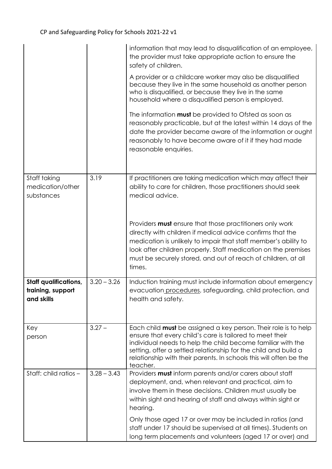|                                                                 |               | information that may lead to disqualification of an employee,<br>the provider must take appropriate action to ensure the<br>safety of children.                                                                                                                                                                                                        |
|-----------------------------------------------------------------|---------------|--------------------------------------------------------------------------------------------------------------------------------------------------------------------------------------------------------------------------------------------------------------------------------------------------------------------------------------------------------|
|                                                                 |               | A provider or a childcare worker may also be disqualified<br>because they live in the same household as another person<br>who is disqualified, or because they live in the same<br>household where a disqualified person is employed.                                                                                                                  |
|                                                                 |               | The information <b>must</b> be provided to Ofsted as soon as<br>reasonably practicable, but at the latest within 14 days of the<br>date the provider became aware of the information or ought<br>reasonably to have become aware of it if they had made<br>reasonable enquiries.                                                                       |
| Staff taking<br>medication/other<br>substances                  | 3.19          | If practitioners are taking medication which may affect their<br>ability to care for children, those practitioners should seek<br>medical advice.                                                                                                                                                                                                      |
|                                                                 |               | Providers <b>must</b> ensure that those practitioners only work<br>directly with children if medical advice confirms that the<br>medication is unlikely to impair that staff member's ability to<br>look after children properly. Staff medication on the premises<br>must be securely stored, and out of reach of children, at all<br>times.          |
| <b>Staff qualifications,</b><br>training, support<br>and skills | $3.20 - 3.26$ | Induction training must include information about emergency<br>evacuation procedures, safeguarding, child protection, and<br>health and safety.                                                                                                                                                                                                        |
| Key<br>person                                                   | $3.27 -$      | Each child <b>must</b> be assigned a key person. Their role is to help<br>ensure that every child's care is tailored to meet their<br>individual needs to help the child become familiar with the<br>setting, offer a settled relationship for the child and build a<br>relationship with their parents. In schools this will often be the<br>teacher. |
| Staff: child ratios -                                           | $3.28 - 3.43$ | Providers must inform parents and/or carers about staff<br>deployment, and, when relevant and practical, aim to<br>involve them in these decisions. Children must usually be<br>within sight and hearing of staff and always within sight or<br>hearing.<br>Only those aged 17 or over may be included in ratios (and                                  |
|                                                                 |               | staff under 17 should be supervised at all times). Students on<br>long term placements and volunteers (aged 17 or over) and                                                                                                                                                                                                                            |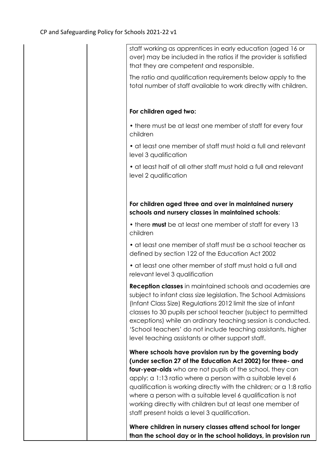|                        | that they are competent and responsible.                                                                                 | staff working as apprentices in early education (aged 16 or<br>over) may be included in the ratios if the provider is satisfied                                                                                                                                                                                                      |
|------------------------|--------------------------------------------------------------------------------------------------------------------------|--------------------------------------------------------------------------------------------------------------------------------------------------------------------------------------------------------------------------------------------------------------------------------------------------------------------------------------|
|                        |                                                                                                                          | The ratio and qualification requirements below apply to the<br>total number of staff available to work directly with children.                                                                                                                                                                                                       |
| For children aged two: |                                                                                                                          |                                                                                                                                                                                                                                                                                                                                      |
| children               | • there must be at least one member of staff for every four                                                              |                                                                                                                                                                                                                                                                                                                                      |
| level 3 qualification  |                                                                                                                          | • at least one member of staff must hold a full and relevant                                                                                                                                                                                                                                                                         |
| level 2 qualification  | • at least half of all other staff must hold a full and relevant                                                         |                                                                                                                                                                                                                                                                                                                                      |
|                        | For children aged three and over in maintained nursery<br>schools and nursery classes in maintained schools:             |                                                                                                                                                                                                                                                                                                                                      |
| children               | • there <b>must</b> be at least one member of staff for every 13                                                         |                                                                                                                                                                                                                                                                                                                                      |
|                        | defined by section 122 of the Education Act 2002                                                                         | • at least one member of staff must be a school teacher as                                                                                                                                                                                                                                                                           |
|                        | • at least one other member of staff must hold a full and<br>relevant level 3 qualification                              |                                                                                                                                                                                                                                                                                                                                      |
|                        | (Infant Class Size) Regulations 2012 limit the size of infant<br>level teaching assistants or other support staff.       | <b>Reception classes</b> in maintained schools and academies are<br>subject to infant class size legislation. The School Admissions<br>classes to 30 pupils per school teacher (subject to permitted<br>exceptions) while an ordinary teaching session is conducted.<br>'School teachers' do not include teaching assistants, higher |
|                        | Where schools have provision run by the governing body                                                                   |                                                                                                                                                                                                                                                                                                                                      |
|                        | (under section 27 of the Education Act 2002) for three- and<br>four-year-olds who are not pupils of the school, they can |                                                                                                                                                                                                                                                                                                                                      |
|                        | apply: a 1:13 ratio where a person with a suitable level 6                                                               |                                                                                                                                                                                                                                                                                                                                      |
|                        |                                                                                                                          | qualification is working directly with the children; or a 1:8 ratio                                                                                                                                                                                                                                                                  |
|                        | where a person with a suitable level 6 qualification is not<br>working directly with children but at least one member of |                                                                                                                                                                                                                                                                                                                                      |
|                        | staff present holds a level 3 qualification.                                                                             |                                                                                                                                                                                                                                                                                                                                      |
|                        | Where children in nursery classes attend school for longer                                                               |                                                                                                                                                                                                                                                                                                                                      |
|                        |                                                                                                                          | than the school day or in the school holidays, in provision run                                                                                                                                                                                                                                                                      |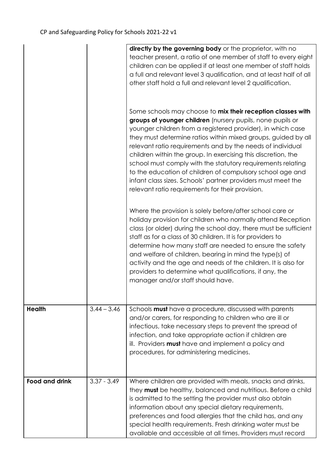|                       |               | directly by the governing body or the proprietor, with no<br>teacher present, a ratio of one member of staff to every eight<br>children can be applied if at least one member of staff holds<br>a full and relevant level 3 qualification, and at least half of all<br>other staff hold a full and relevant level 2 qualification.                                                                                                                                                                                                                                                                                                       |
|-----------------------|---------------|------------------------------------------------------------------------------------------------------------------------------------------------------------------------------------------------------------------------------------------------------------------------------------------------------------------------------------------------------------------------------------------------------------------------------------------------------------------------------------------------------------------------------------------------------------------------------------------------------------------------------------------|
|                       |               | Some schools may choose to mix their reception classes with<br>groups of younger children (nursery pupils, none pupils or<br>younger children from a registered provider), in which case<br>they must determine ratios within mixed groups, guided by all<br>relevant ratio requirements and by the needs of individual<br>children within the group. In exercising this discretion, the<br>school must comply with the statutory requirements relating<br>to the education of children of compulsory school age and<br>infant class sizes. Schools' partner providers must meet the<br>relevant ratio requirements for their provision. |
|                       |               | Where the provision is solely before/after school care or<br>holiday provision for children who normally attend Reception<br>class (or older) during the school day, there must be sufficient<br>staff as for a class of 30 children. It is for providers to<br>determine how many staff are needed to ensure the safety<br>and welfare of children, bearing in mind the type(s) of<br>activity and the age and needs of the children. It is also for<br>providers to determine what qualifications, if any, the<br>manager and/or staff should have.                                                                                    |
| <b>Health</b>         | $3.44 - 3.46$ | Schools <b>must</b> have a procedure, discussed with parents<br>and/or carers, for responding to children who are ill or<br>infectious, take necessary steps to prevent the spread of<br>infection, and take appropriate action if children are<br>ill. Providers <b>must</b> have and implement a policy and<br>procedures, for administering medicines.                                                                                                                                                                                                                                                                                |
| <b>Food and drink</b> | $3.37 - 3.49$ | Where children are provided with meals, snacks and drinks,<br>they <b>must</b> be healthy, balanced and nutritious. Before a child<br>is admitted to the setting the provider must also obtain<br>information about any special dietary requirements,<br>preferences and food allergies that the child has, and any<br>special health requirements. Fresh drinking water must be<br>available and accessible at all times. Providers must record                                                                                                                                                                                         |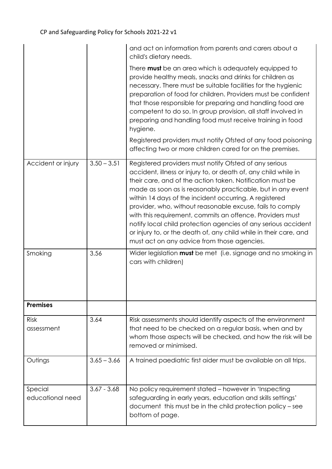|                             |               | and act on information from parents and carers about a<br>child's dietary needs.                                                                                                                                                                                                                                                                                                                                                                                                                                                                                                                                                |
|-----------------------------|---------------|---------------------------------------------------------------------------------------------------------------------------------------------------------------------------------------------------------------------------------------------------------------------------------------------------------------------------------------------------------------------------------------------------------------------------------------------------------------------------------------------------------------------------------------------------------------------------------------------------------------------------------|
|                             |               | There <b>must</b> be an area which is adequately equipped to<br>provide healthy meals, snacks and drinks for children as<br>necessary. There must be suitable facilities for the hygienic<br>preparation of food for children. Providers must be confident<br>that those responsible for preparing and handling food are<br>competent to do so. In group provision, all staff involved in<br>preparing and handling food must receive training in food<br>hygiene.                                                                                                                                                              |
|                             |               | Registered providers must notify Ofsted of any food poisoning<br>affecting two or more children cared for on the premises.                                                                                                                                                                                                                                                                                                                                                                                                                                                                                                      |
| Accident or injury          | $3.50 - 3.51$ | Registered providers must notify Ofsted of any serious<br>accident, illness or injury to, or death of, any child while in<br>their care, and of the action taken. Notification must be<br>made as soon as is reasonably practicable, but in any event<br>within 14 days of the incident occurring. A registered<br>provider, who, without reasonable excuse, fails to comply<br>with this requirement, commits an offence. Providers must<br>notify local child protection agencies of any serious accident<br>or injury to, or the death of, any child while in their care, and<br>must act on any advice from those agencies. |
| Smoking                     | 3.56          | Wider legislation <b>must</b> be met (i.e. signage and no smoking in<br>cars with children)                                                                                                                                                                                                                                                                                                                                                                                                                                                                                                                                     |
| <b>Premises</b>             |               |                                                                                                                                                                                                                                                                                                                                                                                                                                                                                                                                                                                                                                 |
| <b>Risk</b><br>assessment   | 3.64          | Risk assessments should identify aspects of the environment<br>that need to be checked on a regular basis, when and by<br>whom those aspects will be checked, and how the risk will be<br>removed or minimised.                                                                                                                                                                                                                                                                                                                                                                                                                 |
| Outings                     | $3.65 - 3.66$ | A trained paediatric first aider must be available on all trips.                                                                                                                                                                                                                                                                                                                                                                                                                                                                                                                                                                |
| Special<br>educational need | $3.67 - 3.68$ | No policy requirement stated – however in 'Inspecting<br>safeguarding in early years, education and skills settings'<br>document this must be in the child protection policy - see<br>bottom of page.                                                                                                                                                                                                                                                                                                                                                                                                                           |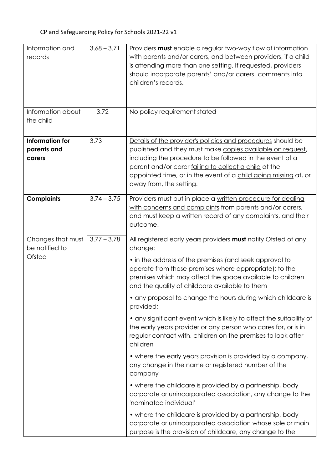| Information and<br>records                    | $3.68 - 3.71$ | Providers <b>must</b> enable a regular two-way flow of information<br>with parents and/or carers, and between providers, if a child<br>is attending more than one setting. If requested, providers<br>should incorporate parents' and/or carers' comments into<br>children's records.                                                                                                                                                                                                                                                                                                                                                                                                                                                                                                                                                                                                                                                                                                                                         |
|-----------------------------------------------|---------------|-------------------------------------------------------------------------------------------------------------------------------------------------------------------------------------------------------------------------------------------------------------------------------------------------------------------------------------------------------------------------------------------------------------------------------------------------------------------------------------------------------------------------------------------------------------------------------------------------------------------------------------------------------------------------------------------------------------------------------------------------------------------------------------------------------------------------------------------------------------------------------------------------------------------------------------------------------------------------------------------------------------------------------|
| Information about<br>the child                | 3.72          | No policy requirement stated                                                                                                                                                                                                                                                                                                                                                                                                                                                                                                                                                                                                                                                                                                                                                                                                                                                                                                                                                                                                  |
| Information for<br>parents and<br>carers      | 3.73          | Details of the provider's policies and procedures should be<br>published and they must make copies available on request,<br>including the procedure to be followed in the event of a<br>parent and/or carer failing to collect a child at the<br>appointed time, or in the event of a child going missing at, or<br>away from, the setting.                                                                                                                                                                                                                                                                                                                                                                                                                                                                                                                                                                                                                                                                                   |
| <b>Complaints</b>                             | $3.74 - 3.75$ | Providers must put in place a written procedure for dealing<br>with concerns and complaints from parents and/or carers,<br>and must keep a written record of any complaints, and their<br>outcome.                                                                                                                                                                                                                                                                                                                                                                                                                                                                                                                                                                                                                                                                                                                                                                                                                            |
| Changes that must<br>be notified to<br>Ofsted | $3.77 - 3.78$ | All registered early years providers must notify Ofsted of any<br>change:<br>• in the address of the premises (and seek approval to<br>operate from those premises where appropriate); to the<br>premises which may affect the space available to children<br>and the quality of childcare available to them<br>• any proposal to change the hours during which childcare is<br>provided;<br>• any significant event which is likely to affect the suitability of<br>the early years provider or any person who cares for, or is in<br>regular contact with, children on the premises to look after<br>children<br>• where the early years provision is provided by a company,<br>any change in the name or registered number of the<br>company<br>• where the childcare is provided by a partnership, body<br>corporate or unincorporated association, any change to the<br>'nominated individual'<br>• where the childcare is provided by a partnership, body<br>corporate or unincorporated association whose sole or main |